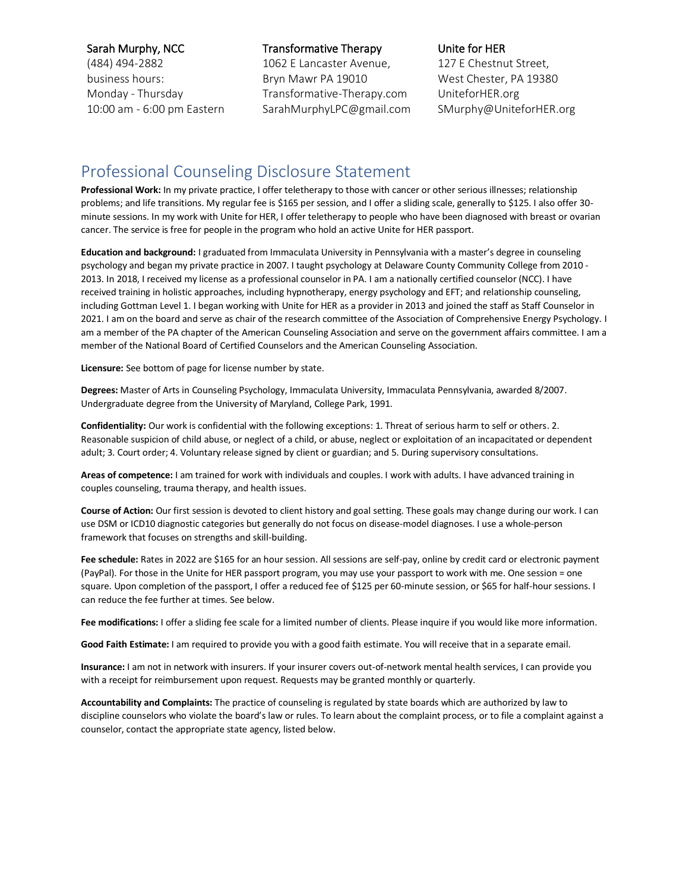#### Sarah Murphy, NCC

(484) 494-2882 business hours: Monday - Thursday 10:00 am - 6:00 pm Eastern

### Transformative Therapy

1062 E Lancaster Avenue, Bryn Mawr PA 19010 Transformative-Therapy.com SarahMurphyLPC@gmail.com

#### Unite for HER

127 E Chestnut Street, West Chester, PA 19380 UniteforHER.org SMurphy@UniteforHER.org

# Professional Counseling Disclosure Statement

**Professional Work:** In my private practice, I offer teletherapy to those with cancer or other serious illnesses; relationship problems; and life transitions. My regular fee is \$165 per session, and I offer a sliding scale, generally to \$125. I also offer 30 minute sessions. In my work with Unite for HER, I offer teletherapy to people who have been diagnosed with breast or ovarian cancer. The service is free for people in the program who hold an active Unite for HER passport.

**Education and background:** I graduated from Immaculata University in Pennsylvania with a master's degree in counseling psychology and began my private practice in 2007. I taught psychology at Delaware County Community College from 2010 - 2013. In 2018, I received my license as a professional counselor in PA. I am a nationally certified counselor (NCC). I have received training in holistic approaches, including hypnotherapy, energy psychology and EFT; and relationship counseling, including Gottman Level 1. I began working with Unite for HER as a provider in 2013 and joined the staff as Staff Counselor in 2021. I am on the board and serve as chair of the research committee of the Association of Comprehensive Energy Psychology. I am a member of the PA chapter of the American Counseling Association and serve on the government affairs committee. I am a member of the National Board of Certified Counselors and the American Counseling Association.

**Licensure:** See bottom of page for license number by state.

**Degrees:** Master of Arts in Counseling Psychology, Immaculata University, Immaculata Pennsylvania, awarded 8/2007. Undergraduate degree from the University of Maryland, College Park, 1991.

**Confidentiality:** Our work is confidential with the following exceptions: 1. Threat of serious harm to self or others. 2. Reasonable suspicion of child abuse, or neglect of a child, or abuse, neglect or exploitation of an incapacitated or dependent adult; 3. Court order; 4. Voluntary release signed by client or guardian; and 5. During supervisory consultations.

**Areas of competence:** I am trained for work with individuals and couples. I work with adults. I have advanced training in couples counseling, trauma therapy, and health issues.

**Course of Action:** Our first session is devoted to client history and goal setting. These goals may change during our work. I can use DSM or ICD10 diagnostic categories but generally do not focus on disease-model diagnoses. I use a whole-person framework that focuses on strengths and skill-building.

**Fee schedule:** Rates in 2022 are \$165 for an hour session. All sessions are self-pay, online by credit card or electronic payment (PayPal). For those in the Unite for HER passport program, you may use your passport to work with me. One session = one square. Upon completion of the passport, I offer a reduced fee of \$125 per 60-minute session, or \$65 for half-hour sessions. I can reduce the fee further at times. See below.

**Fee modifications:** I offer a sliding fee scale for a limited number of clients. Please inquire if you would like more information.

**Good Faith Estimate:** I am required to provide you with a good faith estimate. You will receive that in a separate email.

**Insurance:** I am not in network with insurers. If your insurer covers out-of-network mental health services, I can provide you with a receipt for reimbursement upon request. Requests may be granted monthly or quarterly.

**Accountability and Complaints:** The practice of counseling is regulated by state boards which are authorized by law to discipline counselors who violate the board's law or rules. To learn about the complaint process, or to file a complaint against a counselor, contact the appropriate state agency, listed below.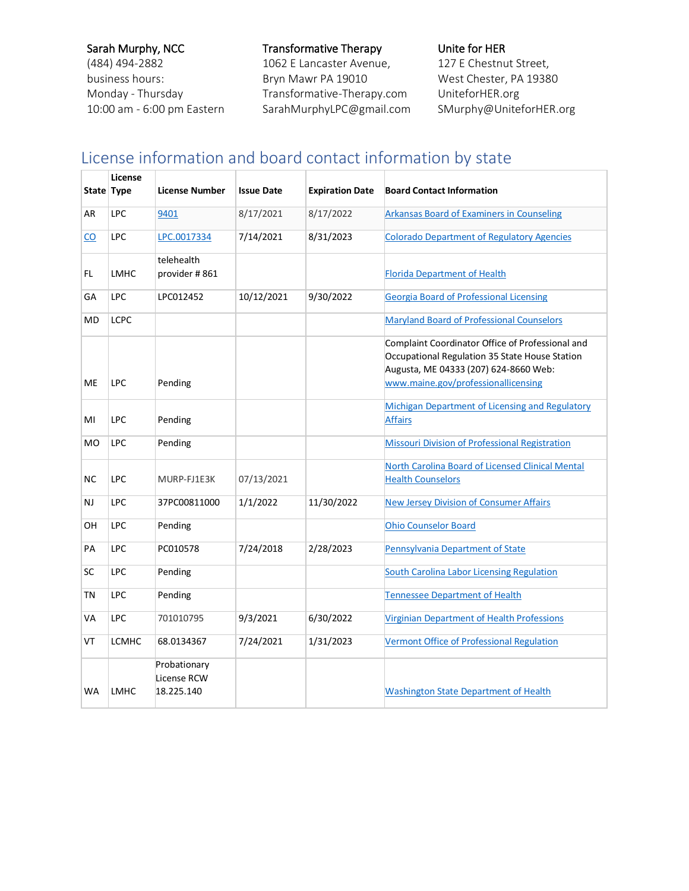## Sarah Murphy, NCC

(484) 494-2882 business hours: Monday - Thursday 10:00 am - 6:00 pm Eastern

### Transformative Therapy

1062 E Lancaster Avenue, Bryn Mawr PA 19010 Transformative-Therapy.com SarahMurphyLPC@gmail.com Unite for HER 127 E Chestnut Street, West Chester, PA 19380 UniteforHER.org SMurphy@UniteforHER.org

# License information and board contact information by state

|           | License<br>State Type | License Number                            | <b>Issue Date</b> | <b>Expiration Date</b> | <b>Board Contact Information</b>                                                                                                                                                   |
|-----------|-----------------------|-------------------------------------------|-------------------|------------------------|------------------------------------------------------------------------------------------------------------------------------------------------------------------------------------|
| AR        | <b>LPC</b>            | 9401                                      | 8/17/2021         | 8/17/2022              | <b>Arkansas Board of Examiners in Counseling</b>                                                                                                                                   |
|           |                       |                                           |                   |                        |                                                                                                                                                                                    |
| CO.       | LPC                   | LPC.0017334                               | 7/14/2021         | 8/31/2023              | <b>Colorado Department of Regulatory Agencies</b>                                                                                                                                  |
| FL        | <b>LMHC</b>           | telehealth<br>provider #861               |                   |                        | <b>Florida Department of Health</b>                                                                                                                                                |
| GA        | <b>LPC</b>            | LPC012452                                 | 10/12/2021        | 9/30/2022              | <b>Georgia Board of Professional Licensing</b>                                                                                                                                     |
| <b>MD</b> | <b>LCPC</b>           |                                           |                   |                        | Maryland Board of Professional Counselors                                                                                                                                          |
| <b>ME</b> | LPC                   | Pending                                   |                   |                        | Complaint Coordinator Office of Professional and<br>Occupational Regulation 35 State House Station<br>Augusta, ME 04333 (207) 624-8660 Web:<br>www.maine.gov/professionallicensing |
| MI        | LPC                   | Pending                                   |                   |                        | Michigan Department of Licensing and Regulatory<br><b>Affairs</b>                                                                                                                  |
| <b>MO</b> | LPC                   | Pending                                   |                   |                        | <b>Missouri Division of Professional Registration</b>                                                                                                                              |
| <b>NC</b> | LPC                   | MURP-FJ1E3K                               | 07/13/2021        |                        | North Carolina Board of Licensed Clinical Mental<br><b>Health Counselors</b>                                                                                                       |
| NJ.       | LPC                   | 37PC00811000                              | 1/1/2022          | 11/30/2022             | <b>New Jersey Division of Consumer Affairs</b>                                                                                                                                     |
| OH        | LPC                   | Pending                                   |                   |                        | <b>Ohio Counselor Board</b>                                                                                                                                                        |
| PA        | LPC                   | PC010578                                  | 7/24/2018         | 2/28/2023              | Pennsylvania Department of State                                                                                                                                                   |
| <b>SC</b> | <b>LPC</b>            | Pending                                   |                   |                        | <b>South Carolina Labor Licensing Regulation</b>                                                                                                                                   |
| TN        | LPC                   | Pending                                   |                   |                        | <b>Tennessee Department of Health</b>                                                                                                                                              |
| <b>VA</b> | LPC                   | 701010795                                 | 9/3/2021          | 6/30/2022              | Virginian Department of Health Professions                                                                                                                                         |
| VT        | <b>LCMHC</b>          | 68.0134367                                | 7/24/2021         | 1/31/2023              | <b>Vermont Office of Professional Regulation</b>                                                                                                                                   |
| <b>WA</b> | <b>LMHC</b>           | Probationary<br>License RCW<br>18.225.140 |                   |                        | <b>Washington State Department of Health</b>                                                                                                                                       |